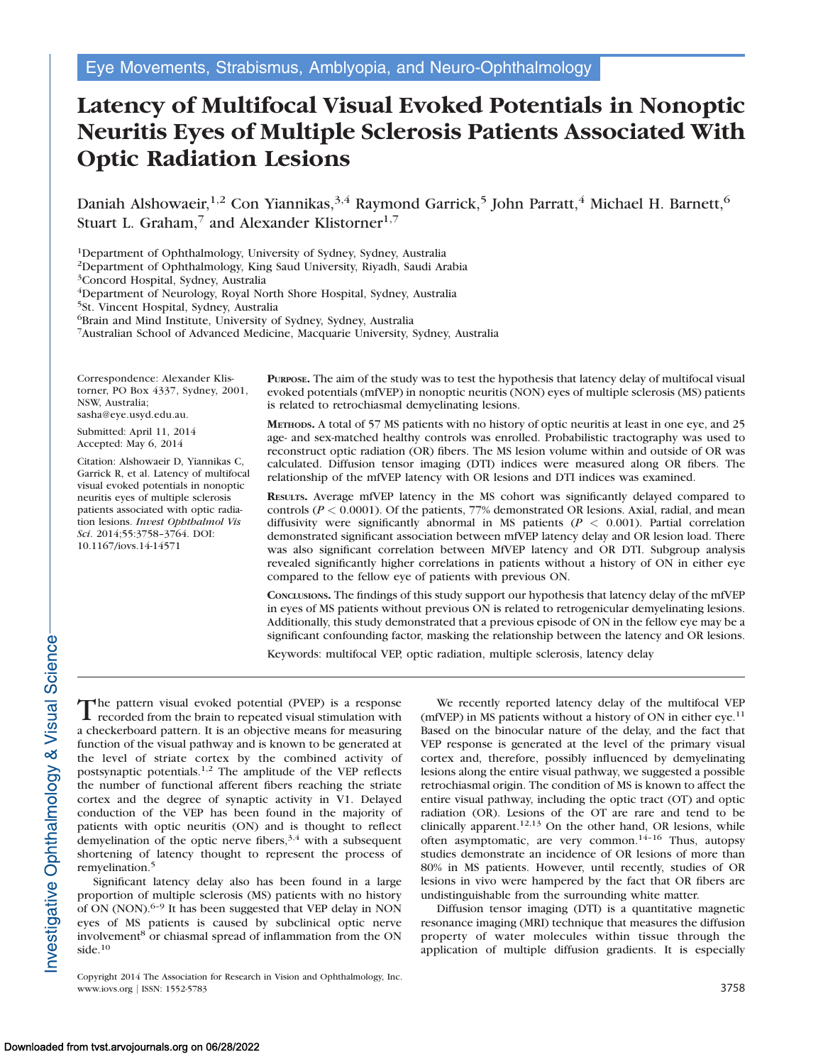# Latency of Multifocal Visual Evoked Potentials in Nonoptic Neuritis Eyes of Multiple Sclerosis Patients Associated With Optic Radiation Lesions

Daniah Alshowaeir,<sup>1,2</sup> Con Yiannikas,<sup>3,4</sup> Raymond Garrick,<sup>5</sup> John Parratt,<sup>4</sup> Michael H. Barnett,<sup>6</sup> Stuart L. Graham,<sup>7</sup> and Alexander Klistorner<sup>1,7</sup>

1Department of Ophthalmology, University of Sydney, Sydney, Australia

2Department of Ophthalmology, King Saud University, Riyadh, Saudi Arabia

3Concord Hospital, Sydney, Australia

4Department of Neurology, Royal North Shore Hospital, Sydney, Australia

5St. Vincent Hospital, Sydney, Australia

6Brain and Mind Institute, University of Sydney, Sydney, Australia

7Australian School of Advanced Medicine, Macquarie University, Sydney, Australia

Correspondence: Alexander Klistorner, PO Box 4337, Sydney, 2001, NSW, Australia; sasha@eye.usyd.edu.au.

Submitted: April 11, 2014 Accepted: May 6, 2014

Citation: Alshowaeir D, Yiannikas C, Garrick R, et al. Latency of multifocal visual evoked potentials in nonoptic neuritis eyes of multiple sclerosis patients associated with optic radiation lesions. Invest Ophthalmol Vis Sci. 2014;55:3758–3764. DOI: 10.1167/iovs.14-14571

PURPOSE. The aim of the study was to test the hypothesis that latency delay of multifocal visual evoked potentials (mfVEP) in nonoptic neuritis (NON) eyes of multiple sclerosis (MS) patients is related to retrochiasmal demyelinating lesions.

METHODS. A total of 57 MS patients with no history of optic neuritis at least in one eye, and 25 age- and sex-matched healthy controls was enrolled. Probabilistic tractography was used to reconstruct optic radiation (OR) fibers. The MS lesion volume within and outside of OR was calculated. Diffusion tensor imaging (DTI) indices were measured along OR fibers. The relationship of the mfVEP latency with OR lesions and DTI indices was examined.

RESULTS. Average mfVEP latency in the MS cohort was significantly delayed compared to controls ( $P < 0.0001$ ). Of the patients, 77% demonstrated OR lesions. Axial, radial, and mean diffusivity were significantly abnormal in MS patients ( $P < 0.001$ ). Partial correlation demonstrated significant association between mfVEP latency delay and OR lesion load. There was also significant correlation between MfVEP latency and OR DTI. Subgroup analysis revealed significantly higher correlations in patients without a history of ON in either eye compared to the fellow eye of patients with previous ON.

CONCLUSIONS. The findings of this study support our hypothesis that latency delay of the mfVEP in eyes of MS patients without previous ON is related to retrogenicular demyelinating lesions. Additionally, this study demonstrated that a previous episode of ON in the fellow eye may be a significant confounding factor, masking the relationship between the latency and OR lesions.

Keywords: multifocal VEP, optic radiation, multiple sclerosis, latency delay

The pattern visual evoked potential (PVEP) is a response recorded from the brain to repeated visual stimulation with a checkerboard pattern. It is an objective means for measuring function of the visual pathway and is known to be generated at the level of striate cortex by the combined activity of postsynaptic potentials.1,2 The amplitude of the VEP reflects the number of functional afferent fibers reaching the striate cortex and the degree of synaptic activity in V1. Delayed conduction of the VEP has been found in the majority of patients with optic neuritis (ON) and is thought to reflect demyelination of the optic nerve fibers,  $3,4$  with a subsequent shortening of latency thought to represent the process of remyelination.<sup>5</sup>

Significant latency delay also has been found in a large proportion of multiple sclerosis (MS) patients with no history of ON (NON).<sup>6-9</sup> It has been suggested that VEP delay in NON eyes of MS patients is caused by subclinical optic nerve involvement<sup>8</sup> or chiasmal spread of inflammation from the ON side. $10$ 

We recently reported latency delay of the multifocal VEP (mfVEP) in MS patients without a history of ON in either  $eye$ .<sup>11</sup> Based on the binocular nature of the delay, and the fact that VEP response is generated at the level of the primary visual cortex and, therefore, possibly influenced by demyelinating lesions along the entire visual pathway, we suggested a possible retrochiasmal origin. The condition of MS is known to affect the entire visual pathway, including the optic tract (OT) and optic radiation (OR). Lesions of the OT are rare and tend to be clinically apparent.<sup>12,13</sup> On the other hand, OR lesions, while often asymptomatic, are very common.<sup>14-16</sup> Thus, autopsy studies demonstrate an incidence of OR lesions of more than 80% in MS patients. However, until recently, studies of OR lesions in vivo were hampered by the fact that OR fibers are undistinguishable from the surrounding white matter.

Diffusion tensor imaging (DTI) is a quantitative magnetic resonance imaging (MRI) technique that measures the diffusion property of water molecules within tissue through the application of multiple diffusion gradients. It is especially

Copyright 2014 The Association for Research in Vision and Ophthalmology, Inc. www.iovs.org | ISSN: 1552-5783 3758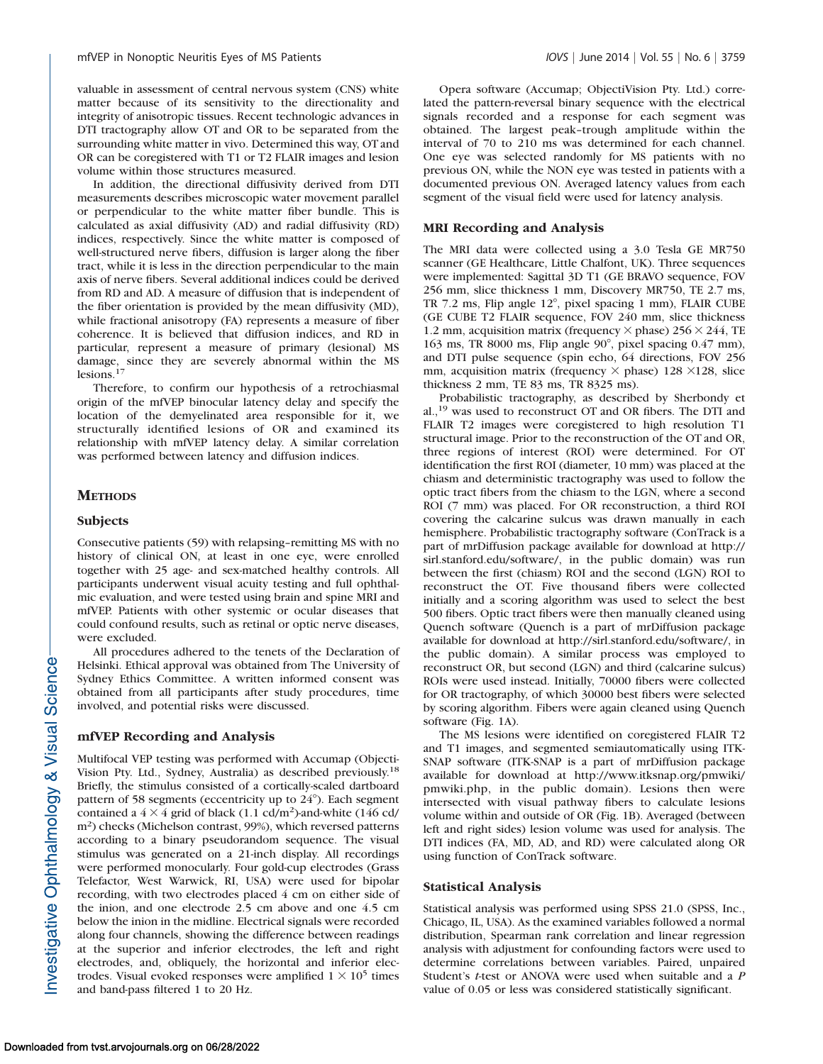valuable in assessment of central nervous system (CNS) white matter because of its sensitivity to the directionality and integrity of anisotropic tissues. Recent technologic advances in DTI tractography allow OT and OR to be separated from the surrounding white matter in vivo. Determined this way, OT and OR can be coregistered with T1 or T2 FLAIR images and lesion volume within those structures measured.

In addition, the directional diffusivity derived from DTI measurements describes microscopic water movement parallel or perpendicular to the white matter fiber bundle. This is calculated as axial diffusivity (AD) and radial diffusivity (RD) indices, respectively. Since the white matter is composed of well-structured nerve fibers, diffusion is larger along the fiber tract, while it is less in the direction perpendicular to the main axis of nerve fibers. Several additional indices could be derived from RD and AD. A measure of diffusion that is independent of the fiber orientation is provided by the mean diffusivity (MD), while fractional anisotropy (FA) represents a measure of fiber coherence. It is believed that diffusion indices, and RD in particular, represent a measure of primary (lesional) MS damage, since they are severely abnormal within the MS lesions.<sup>17</sup>

Therefore, to confirm our hypothesis of a retrochiasmal origin of the mfVEP binocular latency delay and specify the location of the demyelinated area responsible for it, we structurally identified lesions of OR and examined its relationship with mfVEP latency delay. A similar correlation was performed between latency and diffusion indices.

## **METHODS**

#### Subjects

Consecutive patients (59) with relapsing–remitting MS with no history of clinical ON, at least in one eye, were enrolled together with 25 age- and sex-matched healthy controls. All participants underwent visual acuity testing and full ophthalmic evaluation, and were tested using brain and spine MRI and mfVEP. Patients with other systemic or ocular diseases that could confound results, such as retinal or optic nerve diseases, were excluded.

All procedures adhered to the tenets of the Declaration of Helsinki. Ethical approval was obtained from The University of Sydney Ethics Committee. A written informed consent was obtained from all participants after study procedures, time involved, and potential risks were discussed.

## mfVEP Recording and Analysis

Multifocal VEP testing was performed with Accumap (Objecti-Vision Pty. Ltd., Sydney, Australia) as described previously.18 Briefly, the stimulus consisted of a cortically-scaled dartboard pattern of 58 segments (eccentricity up to  $24^{\circ}$ ). Each segment contained a  $4 \times 4$  grid of black (1.1 cd/m<sup>2</sup>)-and-white (146 cd/ m2) checks (Michelson contrast, 99%), which reversed patterns according to a binary pseudorandom sequence. The visual stimulus was generated on a 21-inch display. All recordings were performed monocularly. Four gold-cup electrodes (Grass Telefactor, West Warwick, RI, USA) were used for bipolar recording, with two electrodes placed 4 cm on either side of the inion, and one electrode 2.5 cm above and one 4.5 cm below the inion in the midline. Electrical signals were recorded along four channels, showing the difference between readings at the superior and inferior electrodes, the left and right electrodes, and, obliquely, the horizontal and inferior electrodes. Visual evoked responses were amplified  $1 \times 10^5$  times and band-pass filtered 1 to 20 Hz.

Opera software (Accumap; ObjectiVision Pty. Ltd.) correlated the pattern-reversal binary sequence with the electrical signals recorded and a response for each segment was obtained. The largest peak–trough amplitude within the interval of 70 to 210 ms was determined for each channel. One eye was selected randomly for MS patients with no previous ON, while the NON eye was tested in patients with a documented previous ON. Averaged latency values from each segment of the visual field were used for latency analysis.

## MRI Recording and Analysis

The MRI data were collected using a 3.0 Tesla GE MR750 scanner (GE Healthcare, Little Chalfont, UK). Three sequences were implemented: Sagittal 3D T1 (GE BRAVO sequence, FOV 256 mm, slice thickness 1 mm, Discovery MR750, TE 2.7 ms, TR 7.2 ms, Flip angle 12°, pixel spacing 1 mm), FLAIR CUBE (GE CUBE T2 FLAIR sequence, FOV 240 mm, slice thickness 1.2 mm, acquisition matrix (frequency  $\times$  phase) 256  $\times$  244, TE 163 ms, TR 8000 ms, Flip angle  $90^{\circ}$ , pixel spacing 0.47 mm), and DTI pulse sequence (spin echo, 64 directions, FOV 256 mm, acquisition matrix (frequency  $\times$  phase) 128  $\times$ 128, slice thickness 2 mm, TE 83 ms, TR 8325 ms).

Probabilistic tractography, as described by Sherbondy et al.,19 was used to reconstruct OT and OR fibers. The DTI and FLAIR T2 images were coregistered to high resolution T1 structural image. Prior to the reconstruction of the OT and OR, three regions of interest (ROI) were determined. For OT identification the first ROI (diameter, 10 mm) was placed at the chiasm and deterministic tractography was used to follow the optic tract fibers from the chiasm to the LGN, where a second ROI (7 mm) was placed. For OR reconstruction, a third ROI covering the calcarine sulcus was drawn manually in each hemisphere. Probabilistic tractography software (ConTrack is a part of mrDiffusion package available for download at http:// sirl.stanford.edu/software/, in the public domain) was run between the first (chiasm) ROI and the second (LGN) ROI to reconstruct the OT. Five thousand fibers were collected initially and a scoring algorithm was used to select the best 500 fibers. Optic tract fibers were then manually cleaned using Quench software (Quench is a part of mrDiffusion package available for download at http://sirl.stanford.edu/software/, in the public domain). A similar process was employed to reconstruct OR, but second (LGN) and third (calcarine sulcus) ROIs were used instead. Initially, 70000 fibers were collected for OR tractography, of which 30000 best fibers were selected by scoring algorithm. Fibers were again cleaned using Quench software (Fig. 1A).

The MS lesions were identified on coregistered FLAIR T2 and T1 images, and segmented semiautomatically using ITK-SNAP software (ITK-SNAP is a part of mrDiffusion package available for download at http://www.itksnap.org/pmwiki/ pmwiki.php, in the public domain). Lesions then were intersected with visual pathway fibers to calculate lesions volume within and outside of OR (Fig. 1B). Averaged (between left and right sides) lesion volume was used for analysis. The DTI indices (FA, MD, AD, and RD) were calculated along OR using function of ConTrack software.

#### Statistical Analysis

Statistical analysis was performed using SPSS 21.0 (SPSS, Inc., Chicago, IL, USA). As the examined variables followed a normal distribution, Spearman rank correlation and linear regression analysis with adjustment for confounding factors were used to determine correlations between variables. Paired, unpaired Student's t-test or ANOVA were used when suitable and a P value of 0.05 or less was considered statistically significant.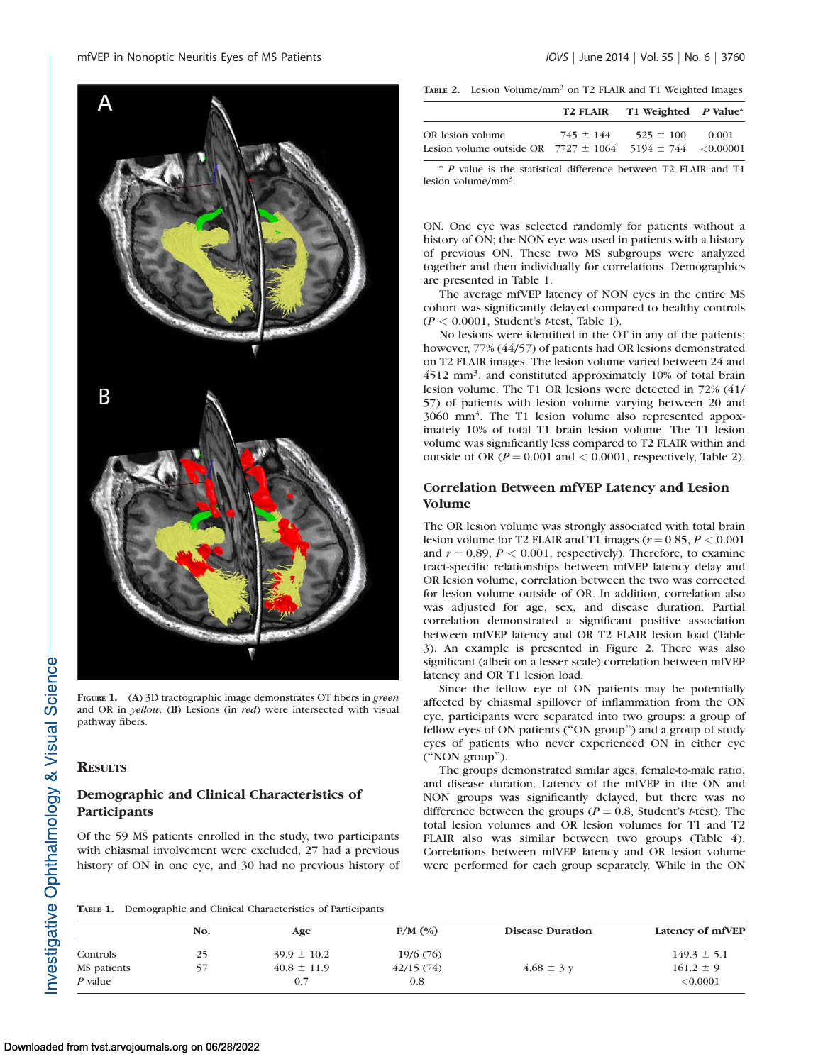

FIGURE 1. (A) 3D tractographic image demonstrates OT fibers in green and OR in yellow. (B) Lesions (in red) were intersected with visual pathway fibers.

# **RESULTS**

# Demographic and Clinical Characteristics of **Participants**

Of the 59 MS patients enrolled in the study, two participants with chiasmal involvement were excluded, 27 had a previous history of ON in one eye, and 30 had no previous history of

TABLE 2. Lesion Volume/mm3 on T2 FLAIR and T1 Weighted Images

|                                                                                      | <b>T2 FLAIR</b> | T1 Weighted P Value* |       |
|--------------------------------------------------------------------------------------|-----------------|----------------------|-------|
| OR lesion volume<br>Lesion volume outside OR $7727 \pm 1064$ 5194 $\pm 744$ <0.00001 | $745 \pm 144$   | $525 \pm 100$        | 0.001 |

\* P value is the statistical difference between T2 FLAIR and T1 lesion volume/mm3.

ON. One eye was selected randomly for patients without a history of ON; the NON eye was used in patients with a history of previous ON. These two MS subgroups were analyzed together and then individually for correlations. Demographics are presented in Table 1.

The average mfVEP latency of NON eyes in the entire MS cohort was significantly delayed compared to healthy controls  $(P < 0.0001$ , Student's *t*-test, Table 1).

No lesions were identified in the OT in any of the patients; however, 77% (44/57) of patients had OR lesions demonstrated on T2 FLAIR images. The lesion volume varied between 24 and 4512 mm3, and constituted approximately 10% of total brain lesion volume. The T1 OR lesions were detected in 72% (41/ 57) of patients with lesion volume varying between 20 and 3060 mm3. The T1 lesion volume also represented appoximately 10% of total T1 brain lesion volume. The T1 lesion volume was significantly less compared to T2 FLAIR within and outside of OR ( $P = 0.001$  and  $< 0.0001$ , respectively, Table 2).

# Correlation Between mfVEP Latency and Lesion Volume

The OR lesion volume was strongly associated with total brain lesion volume for T2 FLAIR and T1 images ( $r = 0.85$ ,  $P < 0.001$ ) and  $r = 0.89$ ,  $P < 0.001$ , respectively). Therefore, to examine tract-specific relationships between mfVEP latency delay and OR lesion volume, correlation between the two was corrected for lesion volume outside of OR. In addition, correlation also was adjusted for age, sex, and disease duration. Partial correlation demonstrated a significant positive association between mfVEP latency and OR T2 FLAIR lesion load (Table 3). An example is presented in Figure 2. There was also significant (albeit on a lesser scale) correlation between mfVEP latency and OR T1 lesion load.

Since the fellow eye of ON patients may be potentially affected by chiasmal spillover of inflammation from the ON eye, participants were separated into two groups: a group of fellow eyes of ON patients (''ON group'') and a group of study eyes of patients who never experienced ON in either eye (''NON group'').

The groups demonstrated similar ages, female-to-male ratio, and disease duration. Latency of the mfVEP in the ON and NON groups was significantly delayed, but there was no difference between the groups ( $P = 0.8$ , Student's t-test). The total lesion volumes and OR lesion volumes for T1 and T2 FLAIR also was similar between two groups (Table 4). Correlations between mfVEP latency and OR lesion volume were performed for each group separately. While in the ON

| TABLE 1. Demographic and Clinical Characteristics of Participants |  |
|-------------------------------------------------------------------|--|
|-------------------------------------------------------------------|--|

|             | No. | Age             | $F/M$ $(\%)$ | <b>Disease Duration</b> | Latency of mfVEP |
|-------------|-----|-----------------|--------------|-------------------------|------------------|
| Controls    | 25  | $39.9 \pm 10.2$ | 19/6(76)     |                         | $149.3 \pm 5.1$  |
| MS patients |     | $40.8 \pm 11.9$ | 42/15(74)    | $4.68 \pm 3$ y          | $161.2 \pm 9$    |
| P value     |     | 0.7             | 0.8          |                         | < 0.0001         |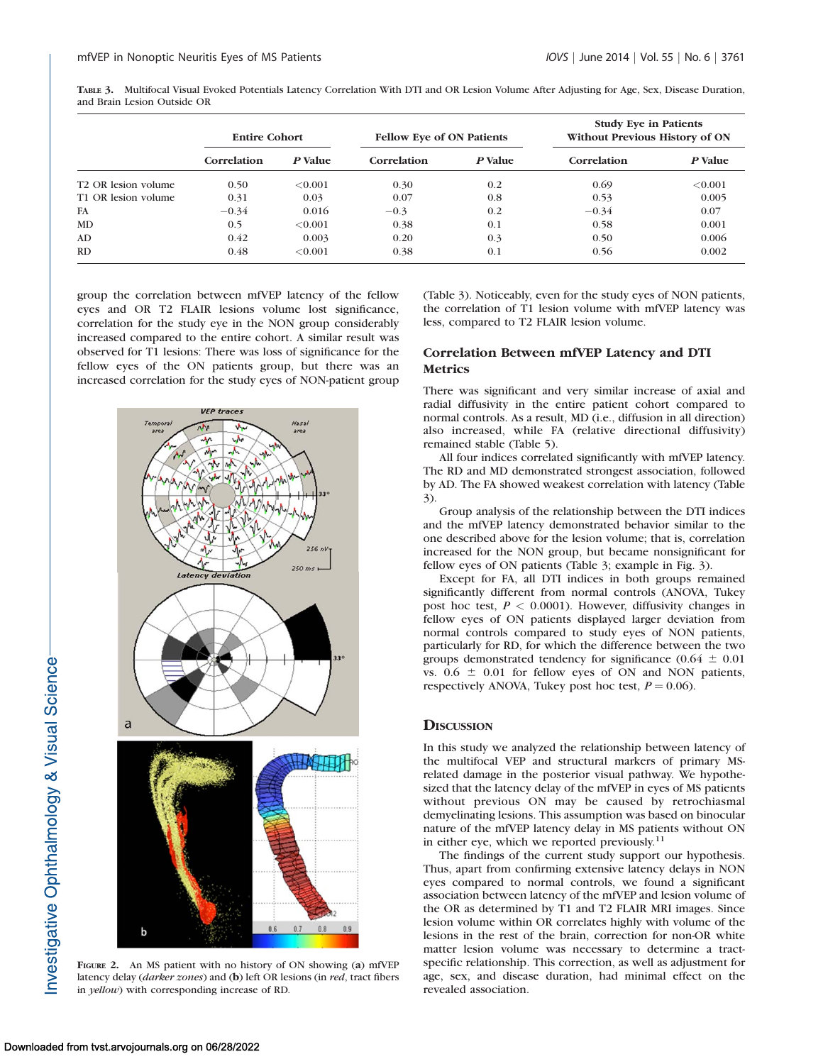|                                 | <b>Entire Cohort</b> |         | <b>Fellow Eve of ON Patients</b> |         | <b>Study Eye in Patients</b><br>Without Previous History of ON |         |  |
|---------------------------------|----------------------|---------|----------------------------------|---------|----------------------------------------------------------------|---------|--|
|                                 | Correlation          | P Value | Correlation                      | P Value | Correlation                                                    | P Value |  |
| T <sub>2</sub> OR lesion volume | 0.50                 | < 0.001 | 0.30                             | 0.2     | 0.69                                                           | < 0.001 |  |
| T1 OR lesion volume             | 0.31                 | 0.03    | 0.07                             | 0.8     | 0.53                                                           | 0.005   |  |
| <b>FA</b>                       | $-0.34$              | 0.016   | $-0.3$                           | 0.2     | $-0.34$                                                        | 0.07    |  |
| MD                              | 0.5                  | < 0.001 | 0.38                             | 0.1     | 0.58                                                           | 0.001   |  |
| AD                              | 0.42                 | 0.003   | 0.20                             | 0.3     | 0.50                                                           | 0.006   |  |
| RD                              | 0.48                 | < 0.001 | 0.38                             | 0.1     | 0.56                                                           | 0.002   |  |

TABLE 3. Multifocal Visual Evoked Potentials Latency Correlation With DTI and OR Lesion Volume After Adjusting for Age, Sex, Disease Duration, and Brain Lesion Outside OR

group the correlation between mfVEP latency of the fellow eyes and OR T2 FLAIR lesions volume lost significance, correlation for the study eye in the NON group considerably increased compared to the entire cohort. A similar result was observed for T1 lesions: There was loss of significance for the fellow eyes of the ON patients group, but there was an increased correlation for the study eyes of NON-patient group



FIGURE 2. An MS patient with no history of ON showing (a) mfVEP latency delay (darker zones) and (b) left OR lesions (in red, tract fibers in yellow) with corresponding increase of RD.

(Table 3). Noticeably, even for the study eyes of NON patients, the correlation of T1 lesion volume with mfVEP latency was less, compared to T2 FLAIR lesion volume.

# Correlation Between mfVEP Latency and DTI **Metrics**

There was significant and very similar increase of axial and radial diffusivity in the entire patient cohort compared to normal controls. As a result, MD (i.e., diffusion in all direction) also increased, while FA (relative directional diffusivity) remained stable (Table 5).

All four indices correlated significantly with mfVEP latency. The RD and MD demonstrated strongest association, followed by AD. The FA showed weakest correlation with latency (Table 3).

Group analysis of the relationship between the DTI indices and the mfVEP latency demonstrated behavior similar to the one described above for the lesion volume; that is, correlation increased for the NON group, but became nonsignificant for fellow eyes of ON patients (Table 3; example in Fig. 3).

Except for FA, all DTI indices in both groups remained significantly different from normal controls (ANOVA, Tukey post hoc test,  $P < 0.0001$ ). However, diffusivity changes in fellow eyes of ON patients displayed larger deviation from normal controls compared to study eyes of NON patients, particularly for RD, for which the difference between the two groups demonstrated tendency for significance ( $0.64 \pm 0.01$ vs.  $0.6 \pm 0.01$  for fellow eyes of ON and NON patients, respectively ANOVA, Tukey post hoc test,  $P = 0.06$ .

#### **DISCUSSION**

In this study we analyzed the relationship between latency of the multifocal VEP and structural markers of primary MSrelated damage in the posterior visual pathway. We hypothesized that the latency delay of the mfVEP in eyes of MS patients without previous ON may be caused by retrochiasmal demyelinating lesions. This assumption was based on binocular nature of the mfVEP latency delay in MS patients without ON in either eye, which we reported previously.11

The findings of the current study support our hypothesis. Thus, apart from confirming extensive latency delays in NON eyes compared to normal controls, we found a significant association between latency of the mfVEP and lesion volume of the OR as determined by T1 and T2 FLAIR MRI images. Since lesion volume within OR correlates highly with volume of the lesions in the rest of the brain, correction for non-OR white matter lesion volume was necessary to determine a tractspecific relationship. This correction, as well as adjustment for age, sex, and disease duration, had minimal effect on the revealed association.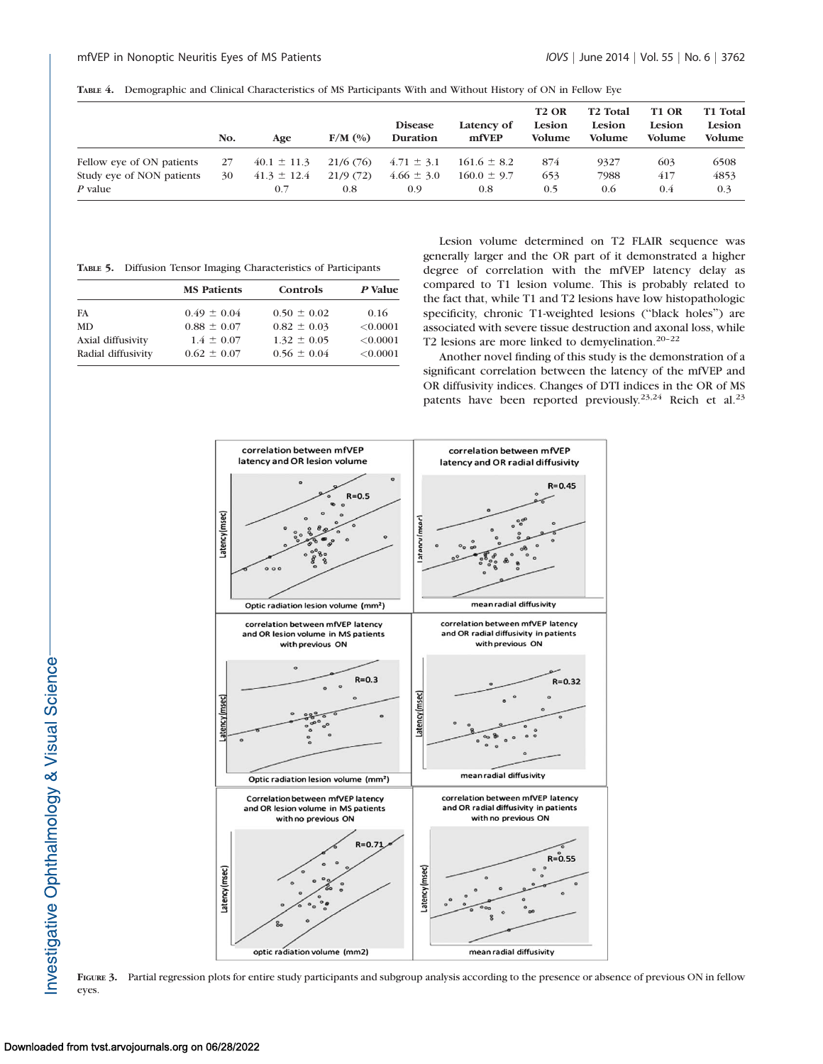TABLE 4. Demographic and Clinical Characteristics of MS Participants With and Without History of ON in Fellow Eye

|                           | No. | Age             | $F/M$ $(\%)$ | <b>Disease</b><br>Duration | Latency of<br>mfVEP | T <sub>2</sub> OR<br>Lesion<br><b>Volume</b> | <b>T2 Total</b><br><b>Lesion</b><br><b>Volume</b> | T1 OR<br><b>Lesion</b><br><b>Volume</b> | T1 Total<br>Lesion<br><b>Volume</b> |
|---------------------------|-----|-----------------|--------------|----------------------------|---------------------|----------------------------------------------|---------------------------------------------------|-----------------------------------------|-------------------------------------|
| Fellow eye of ON patients | 27  | $40.1 \pm 11.3$ | 21/6(76)     | $4.71 \pm 3.1$             | $161.6 \pm 8.2$     | 874                                          | 9327                                              | 603                                     | 6508                                |
| Study eye of NON patients | 30  | $41.3 \pm 12.4$ | 21/9(72)     | $4.66 \pm 3.0$             | $160.0 \pm 9.7$     | 653                                          | 7988                                              | 417                                     | 4853                                |
| P value                   |     | 0.7             | 0.8          | 0.9                        | 0.8                 | 0.5                                          | 0.6                                               | 0.4                                     | 0.3                                 |

TABLE 5. Diffusion Tensor Imaging Characteristics of Participants

|                    | <b>MS Patients</b> | Controls        | P Value  |
|--------------------|--------------------|-----------------|----------|
| FA                 | $0.49 \pm 0.04$    | $0.50 \pm 0.02$ | 0.16     |
| MD                 | $0.88 \pm 0.07$    | $0.82 \pm 0.03$ | < 0.0001 |
| Axial diffusivity  | $1.4 \pm 0.07$     | $1.32 \pm 0.05$ | < 0.0001 |
| Radial diffusivity | $0.62 \pm 0.07$    | $0.56 \pm 0.04$ | < 0.0001 |

Lesion volume determined on T2 FLAIR sequence was generally larger and the OR part of it demonstrated a higher degree of correlation with the mfVEP latency delay as compared to T1 lesion volume. This is probably related to the fact that, while T1 and T2 lesions have low histopathologic specificity, chronic T1-weighted lesions (''black holes'') are associated with severe tissue destruction and axonal loss, while T2 lesions are more linked to demyelination.20–22

Another novel finding of this study is the demonstration of a significant correlation between the latency of the mfVEP and OR diffusivity indices. Changes of DTI indices in the OR of MS patents have been reported previously.<sup>23,24</sup> Reich et al.<sup>23</sup>



FIGURE 3. Partial regression plots for entire study participants and subgroup analysis according to the presence or absence of previous ON in fellow eyes.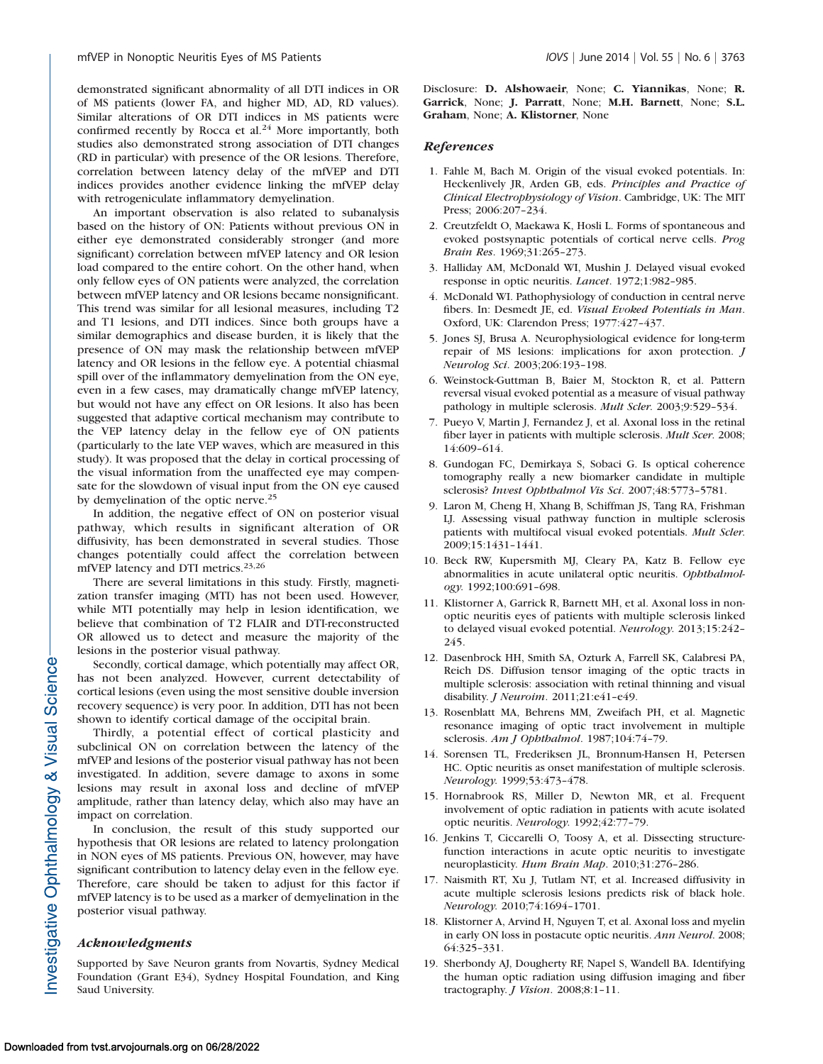demonstrated significant abnormality of all DTI indices in OR of MS patients (lower FA, and higher MD, AD, RD values). Similar alterations of OR DTI indices in MS patients were confirmed recently by Rocca et al. $24$  More importantly, both studies also demonstrated strong association of DTI changes (RD in particular) with presence of the OR lesions. Therefore, correlation between latency delay of the mfVEP and DTI indices provides another evidence linking the mfVEP delay with retrogeniculate inflammatory demyelination.

An important observation is also related to subanalysis based on the history of ON: Patients without previous ON in either eye demonstrated considerably stronger (and more significant) correlation between mfVEP latency and OR lesion load compared to the entire cohort. On the other hand, when only fellow eyes of ON patients were analyzed, the correlation between mfVEP latency and OR lesions became nonsignificant. This trend was similar for all lesional measures, including T2 and T1 lesions, and DTI indices. Since both groups have a similar demographics and disease burden, it is likely that the presence of ON may mask the relationship between mfVEP latency and OR lesions in the fellow eye. A potential chiasmal spill over of the inflammatory demyelination from the ON eye, even in a few cases, may dramatically change mfVEP latency, but would not have any effect on OR lesions. It also has been suggested that adaptive cortical mechanism may contribute to the VEP latency delay in the fellow eye of ON patients (particularly to the late VEP waves, which are measured in this study). It was proposed that the delay in cortical processing of the visual information from the unaffected eye may compensate for the slowdown of visual input from the ON eye caused by demyelination of the optic nerve.25

In addition, the negative effect of ON on posterior visual pathway, which results in significant alteration of OR diffusivity, has been demonstrated in several studies. Those changes potentially could affect the correlation between mfVEP latency and DTI metrics.23,26

There are several limitations in this study. Firstly, magnetization transfer imaging (MTI) has not been used. However, while MTI potentially may help in lesion identification, we believe that combination of T2 FLAIR and DTI-reconstructed OR allowed us to detect and measure the majority of the lesions in the posterior visual pathway.

Secondly, cortical damage, which potentially may affect OR, has not been analyzed. However, current detectability of cortical lesions (even using the most sensitive double inversion recovery sequence) is very poor. In addition, DTI has not been shown to identify cortical damage of the occipital brain.

Thirdly, a potential effect of cortical plasticity and subclinical ON on correlation between the latency of the mfVEP and lesions of the posterior visual pathway has not been investigated. In addition, severe damage to axons in some lesions may result in axonal loss and decline of mfVEP amplitude, rather than latency delay, which also may have an impact on correlation.

In conclusion, the result of this study supported our hypothesis that OR lesions are related to latency prolongation in NON eyes of MS patients. Previous ON, however, may have significant contribution to latency delay even in the fellow eye. Therefore, care should be taken to adjust for this factor if mfVEP latency is to be used as a marker of demyelination in the posterior visual pathway.

## Acknowledgments

Supported by Save Neuron grants from Novartis, Sydney Medical Foundation (Grant E34), Sydney Hospital Foundation, and King Saud University.

Disclosure: D. Alshowaeir, None; C. Yiannikas, None; R. Garrick, None; J. Parratt, None; M.H. Barnett, None; S.L. Graham, None; A. Klistorner, None

### **References**

- 1. Fahle M, Bach M. Origin of the visual evoked potentials. In: Heckenlively JR, Arden GB, eds. Principles and Practice of Clinical Electrophysiology of Vision. Cambridge, UK: The MIT Press; 2006:207–234.
- 2. Creutzfeldt O, Maekawa K, Hosli L. Forms of spontaneous and evoked postsynaptic potentials of cortical nerve cells. Prog Brain Res. 1969;31:265–273.
- 3. Halliday AM, McDonald WI, Mushin J. Delayed visual evoked response in optic neuritis. Lancet. 1972;1:982–985.
- 4. McDonald WI. Pathophysiology of conduction in central nerve fibers. In: Desmedt JE, ed. Visual Evoked Potentials in Man. Oxford, UK: Clarendon Press; 1977:427–437.
- 5. Jones SJ, Brusa A. Neurophysiological evidence for long-term repair of MS lesions: implications for axon protection. J Neurolog Sci. 2003;206:193–198.
- 6. Weinstock-Guttman B, Baier M, Stockton R, et al. Pattern reversal visual evoked potential as a measure of visual pathway pathology in multiple sclerosis. Mult Scler. 2003;9:529–534.
- 7. Pueyo V, Martin J, Fernandez J, et al. Axonal loss in the retinal fiber layer in patients with multiple sclerosis. Mult Scer. 2008; 14:609–614.
- 8. Gundogan FC, Demirkaya S, Sobaci G. Is optical coherence tomography really a new biomarker candidate in multiple sclerosis? Invest Ophthalmol Vis Sci. 2007;48:5773–5781.
- 9. Laron M, Cheng H, Xhang B, Schiffman JS, Tang RA, Frishman LJ. Assessing visual pathway function in multiple sclerosis patients with multifocal visual evoked potentials. Mult Scler. 2009;15:1431–1441.
- 10. Beck RW, Kupersmith MJ, Cleary PA, Katz B. Fellow eye abnormalities in acute unilateral optic neuritis. Ophthalmology. 1992;100:691–698.
- 11. Klistorner A, Garrick R, Barnett MH, et al. Axonal loss in nonoptic neuritis eyes of patients with multiple sclerosis linked to delayed visual evoked potential. Neurology. 2013;15:242– 245.
- 12. Dasenbrock HH, Smith SA, Ozturk A, Farrell SK, Calabresi PA, Reich DS. Diffusion tensor imaging of the optic tracts in multiple sclerosis: association with retinal thinning and visual disability. *J Neuroim*. 2011;21:e41-e49.
- 13. Rosenblatt MA, Behrens MM, Zweifach PH, et al. Magnetic resonance imaging of optic tract involvement in multiple sclerosis. Am J Ophthalmol. 1987;104:74–79.
- 14. Sorensen TL, Frederiksen JL, Bronnum-Hansen H, Petersen HC. Optic neuritis as onset manifestation of multiple sclerosis. Neurology. 1999;53:473–478.
- 15. Hornabrook RS, Miller D, Newton MR, et al. Frequent involvement of optic radiation in patients with acute isolated optic neuritis. Neurology. 1992;42:77–79.
- 16. Jenkins T, Ciccarelli O, Toosy A, et al. Dissecting structurefunction interactions in acute optic neuritis to investigate neuroplasticity. Hum Brain Map. 2010;31:276–286.
- 17. Naismith RT, Xu J, Tutlam NT, et al. Increased diffusivity in acute multiple sclerosis lesions predicts risk of black hole. Neurology. 2010;74:1694–1701.
- 18. Klistorner A, Arvind H, Nguyen T, et al. Axonal loss and myelin in early ON loss in postacute optic neuritis. Ann Neurol. 2008; 64:325–331.
- 19. Sherbondy AJ, Dougherty RF, Napel S, Wandell BA. Identifying the human optic radiation using diffusion imaging and fiber tractography. J Vision. 2008;8:1–11.